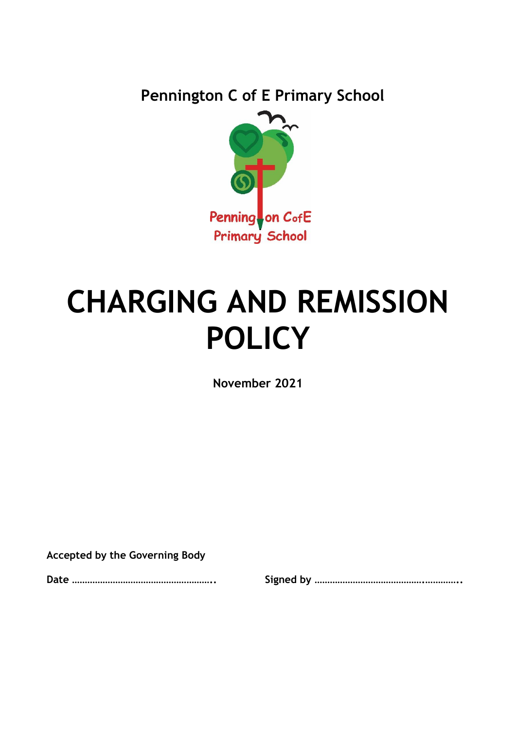### **Pennington C of E Primary School**



# **CHARGING AND REMISSION POLICY**

**November 2021**

**Accepted by the Governing Body**

**Date ……………………………………………….. Signed by …………………………………….…………..**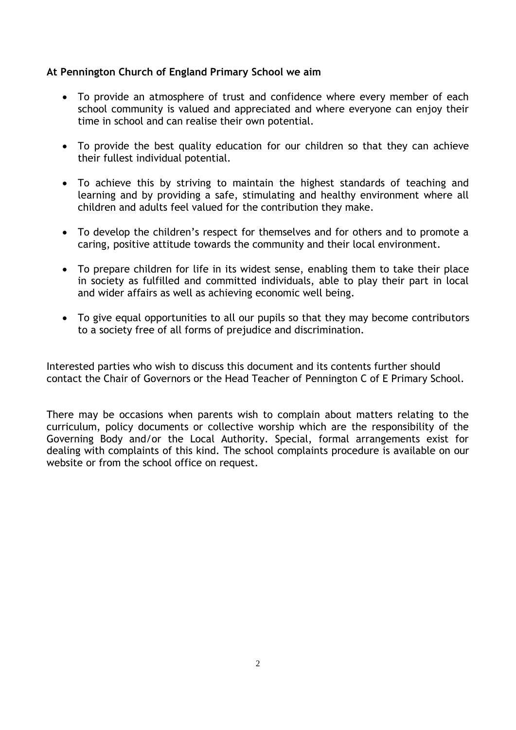#### **At Pennington Church of England Primary School we aim**

- To provide an atmosphere of trust and confidence where every member of each school community is valued and appreciated and where everyone can enjoy their time in school and can realise their own potential.
- To provide the best quality education for our children so that they can achieve their fullest individual potential.
- To achieve this by striving to maintain the highest standards of teaching and learning and by providing a safe, stimulating and healthy environment where all children and adults feel valued for the contribution they make.
- To develop the children's respect for themselves and for others and to promote a caring, positive attitude towards the community and their local environment.
- To prepare children for life in its widest sense, enabling them to take their place in society as fulfilled and committed individuals, able to play their part in local and wider affairs as well as achieving economic well being.
- To give equal opportunities to all our pupils so that they may become contributors to a society free of all forms of prejudice and discrimination.

Interested parties who wish to discuss this document and its contents further should contact the Chair of Governors or the Head Teacher of Pennington C of E Primary School.

There may be occasions when parents wish to complain about matters relating to the curriculum, policy documents or collective worship which are the responsibility of the Governing Body and/or the Local Authority. Special, formal arrangements exist for dealing with complaints of this kind. The school complaints procedure is available on our website or from the school office on request.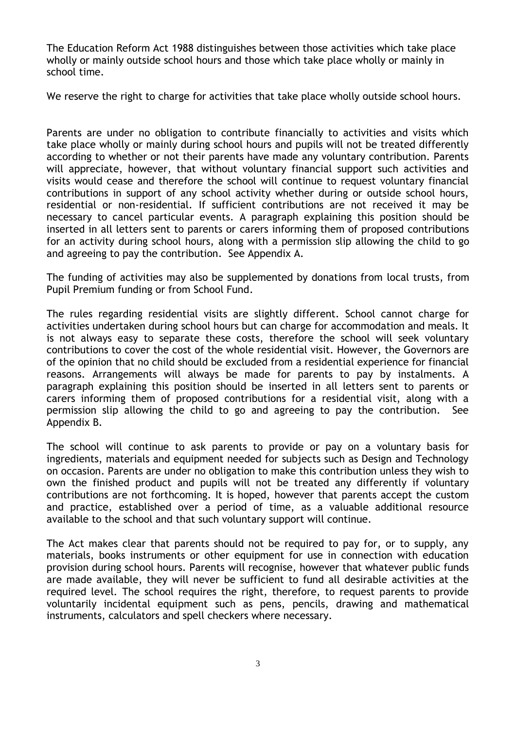The Education Reform Act 1988 distinguishes between those activities which take place wholly or mainly outside school hours and those which take place wholly or mainly in school time.

We reserve the right to charge for activities that take place wholly outside school hours.

Parents are under no obligation to contribute financially to activities and visits which take place wholly or mainly during school hours and pupils will not be treated differently according to whether or not their parents have made any voluntary contribution. Parents will appreciate, however, that without voluntary financial support such activities and visits would cease and therefore the school will continue to request voluntary financial contributions in support of any school activity whether during or outside school hours, residential or non-residential. If sufficient contributions are not received it may be necessary to cancel particular events. A paragraph explaining this position should be inserted in all letters sent to parents or carers informing them of proposed contributions for an activity during school hours, along with a permission slip allowing the child to go and agreeing to pay the contribution. See Appendix A.

The funding of activities may also be supplemented by donations from local trusts, from Pupil Premium funding or from School Fund.

The rules regarding residential visits are slightly different. School cannot charge for activities undertaken during school hours but can charge for accommodation and meals. It is not always easy to separate these costs, therefore the school will seek voluntary contributions to cover the cost of the whole residential visit. However, the Governors are of the opinion that no child should be excluded from a residential experience for financial reasons. Arrangements will always be made for parents to pay by instalments. A paragraph explaining this position should be inserted in all letters sent to parents or carers informing them of proposed contributions for a residential visit, along with a permission slip allowing the child to go and agreeing to pay the contribution. See Appendix B.

The school will continue to ask parents to provide or pay on a voluntary basis for ingredients, materials and equipment needed for subjects such as Design and Technology on occasion. Parents are under no obligation to make this contribution unless they wish to own the finished product and pupils will not be treated any differently if voluntary contributions are not forthcoming. It is hoped, however that parents accept the custom and practice, established over a period of time, as a valuable additional resource available to the school and that such voluntary support will continue.

The Act makes clear that parents should not be required to pay for, or to supply, any materials, books instruments or other equipment for use in connection with education provision during school hours. Parents will recognise, however that whatever public funds are made available, they will never be sufficient to fund all desirable activities at the required level. The school requires the right, therefore, to request parents to provide voluntarily incidental equipment such as pens, pencils, drawing and mathematical instruments, calculators and spell checkers where necessary.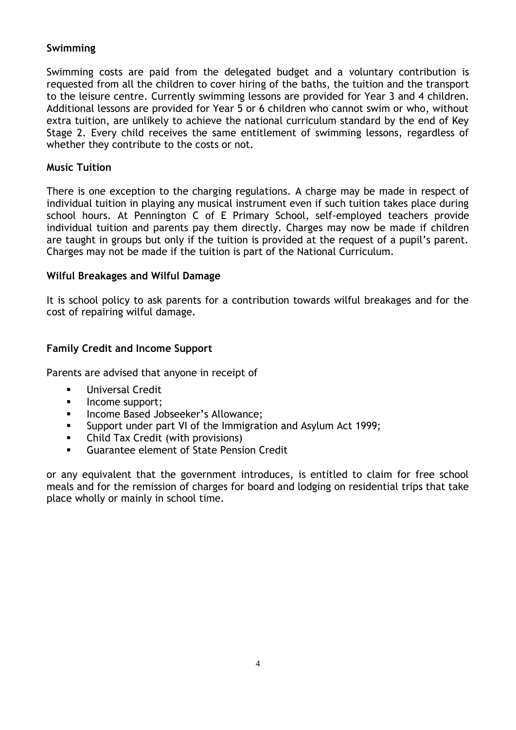#### **Swimming**

Swimming costs are paid from the delegated budget and a voluntary contribution is requested from all the children to cover hiring of the baths, the tuition and the transport to the leisure centre. Currently swimming lessons are provided for Year 3 and 4 children. Additional lessons are provided for Year 5 or 6 children who cannot swim or who, without extra tuition, are unlikely to achieve the national curriculum standard by the end of Key Stage 2. Every child receives the same entitlement of swimming lessons, regardless of whether they contribute to the costs or not.

#### **Music Tuition**

There is one exception to the charging regulations. A charge may be made in respect of individual tuition in playing any musical instrument even if such tuition takes place during school hours. At Pennington C of E Primary School, self-employed teachers provide individual tuition and parents pay them directly. Charges may now be made if children are taught in groups but only if the tuition is provided at the request of a pupil's parent. Charges may not be made if the tuition is part of the National Curriculum.

#### **Wilful Breakages and Wilful Damage**

It is school policy to ask parents for a contribution towards wilful breakages and for the cost of repairing wilful damage.

#### **Family Credit and Income Support**

Parents are advised that anyone in receipt of

- **Universal Credit**
- Income support:
- Income Based Jobseeker's Allowance;
- Support under part VI of the Immigration and Asylum Act 1999;
- Child Tax Credit (with provisions)
- Guarantee element of State Pension Credit

or any equivalent that the government introduces, is entitled to claim for free school meals and for the remission of charges for board and lodging on residential trips that take place wholly or mainly in school time.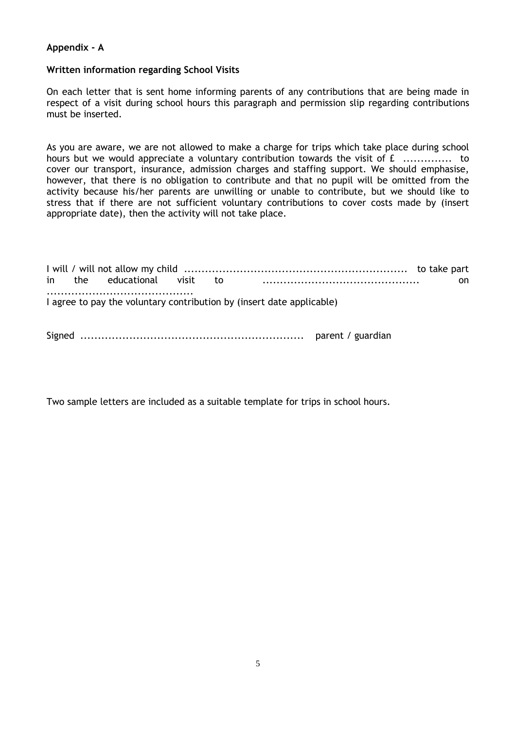#### **Appendix - A**

#### **Written information regarding School Visits**

On each letter that is sent home informing parents of any contributions that are being made in respect of a visit during school hours this paragraph and permission slip regarding contributions must be inserted.

As you are aware, we are not allowed to make a charge for trips which take place during school hours but we would appreciate a voluntary contribution towards the visit of £ ................ to cover our transport, insurance, admission charges and staffing support. We should emphasise, however, that there is no obligation to contribute and that no pupil will be omitted from the activity because his/her parents are unwilling or unable to contribute, but we should like to stress that if there are not sufficient voluntary contributions to cover costs made by (insert appropriate date), then the activity will not take place.

|                                                                       |  | in the educational visit to |  |  |  | on. |  |
|-----------------------------------------------------------------------|--|-----------------------------|--|--|--|-----|--|
| I agree to pay the voluntary contribution by (insert date applicable) |  |                             |  |  |  |     |  |

Signed ................................................................ parent / guardian

Two sample letters are included as a suitable template for trips in school hours.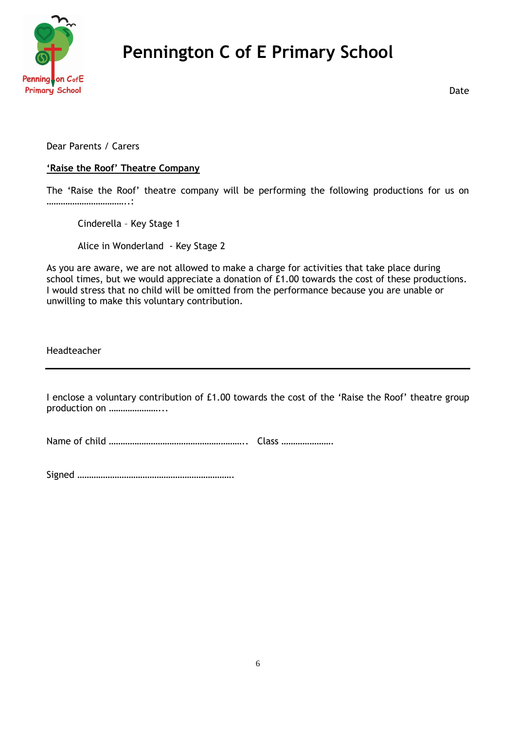

## **Pennington C of E Primary School**

Date

Dear Parents / Carers

#### **'Raise the Roof' Theatre Company**

The 'Raise the Roof' theatre company will be performing the following productions for us on ……………………………..:

Cinderella – Key Stage 1

Alice in Wonderland - Key Stage 2

As you are aware, we are not allowed to make a charge for activities that take place during school times, but we would appreciate a donation of £1.00 towards the cost of these productions. I would stress that no child will be omitted from the performance because you are unable or unwilling to make this voluntary contribution.

Headteacher

I enclose a voluntary contribution of £1.00 towards the cost of the 'Raise the Roof' theatre group production on …………………...

Name of child ………………………………………………….. Class ………………….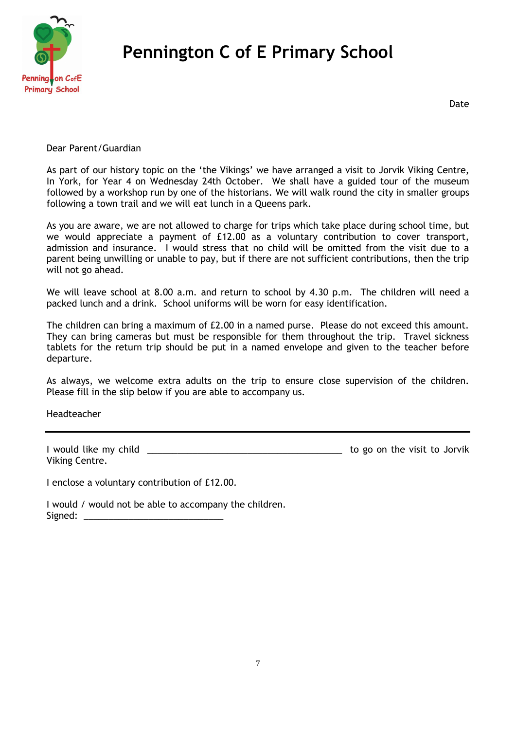

## **Pennington C of E Primary School**

Date

Dear Parent/Guardian

As part of our history topic on the 'the Vikings' we have arranged a visit to Jorvik Viking Centre, In York, for Year 4 on Wednesday 24th October. We shall have a guided tour of the museum followed by a workshop run by one of the historians. We will walk round the city in smaller groups following a town trail and we will eat lunch in a Queens park.

As you are aware, we are not allowed to charge for trips which take place during school time, but we would appreciate a payment of £12.00 as a voluntary contribution to cover transport, admission and insurance. I would stress that no child will be omitted from the visit due to a parent being unwilling or unable to pay, but if there are not sufficient contributions, then the trip will not go ahead.

We will leave school at 8.00 a.m. and return to school by 4.30 p.m. The children will need a packed lunch and a drink. School uniforms will be worn for easy identification.

The children can bring a maximum of £2.00 in a named purse. Please do not exceed this amount. They can bring cameras but must be responsible for them throughout the trip. Travel sickness tablets for the return trip should be put in a named envelope and given to the teacher before departure.

As always, we welcome extra adults on the trip to ensure close supervision of the children. Please fill in the slip below if you are able to accompany us.

Headteacher

| I would like my child | to go on the visit to Jorvik |  |  |
|-----------------------|------------------------------|--|--|
| Viking Centre.        |                              |  |  |

I enclose a voluntary contribution of £12.00.

|         |  |  | I would / would not be able to accompany the children. |  |
|---------|--|--|--------------------------------------------------------|--|
| Signed: |  |  |                                                        |  |